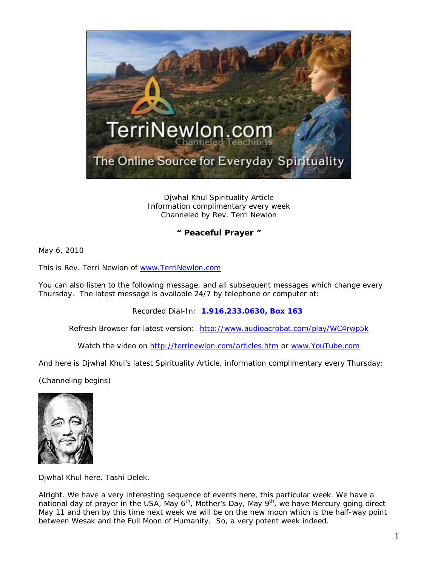

Djwhal Khul Spirituality Article Information complimentary every week Channeled by Rev. Terri Newlon

## **" Peaceful Prayer "**

May 6, 2010

This is Rev. Terri Newlon of [www.TerriNewlon.com](http://www.terrinewlon.com/)

You can also listen to the following message, and all subsequent messages which change every Thursday. The latest message is available 24/7 by telephone or computer at:

Recorded Dial-In: **1.916.233.0630, Box 163**

Refresh Browser for latest version: <http://www.audioacrobat.com/play/WC4rwp5k>

Watch the video on<http://terrinewlon.com/articles.htm> or [www.YouTube.com](http://www.youtube.com/)

And here is Djwhal Khul's latest Spirituality Article, information complimentary every Thursday:

(Channeling begins)



Djwhal Khul here. Tashi Delek.

Alright. We have a very interesting sequence of events here, this particular week. We have a national day of prayer in the USA, May  $6<sup>th</sup>$ , Mother's Day, May  $9<sup>th</sup>$ , we have Mercury going direct May 11 and then by this time next week we will be on the new moon which is the half-way point between Wesak and the Full Moon of Humanity. So, a very potent week indeed.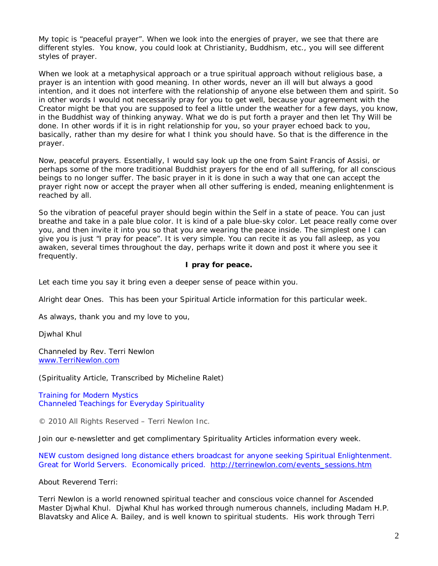My topic is "peaceful prayer". When we look into the energies of prayer, we see that there are different styles. You know, you could look at Christianity, Buddhism, etc., you will see different styles of prayer.

When we look at a metaphysical approach or a true spiritual approach without religious base, a prayer is an intention with good meaning. In other words, never an ill will but always a good intention, and it does not interfere with the relationship of anyone else between them and spirit. So in other words I would not necessarily pray for you to get well, because your agreement with the Creator might be that you are supposed to feel a little under the weather for a few days, you know, in the Buddhist way of thinking anyway. What we do is put forth a prayer and then let Thy Will be done. In other words if it is in right relationship for you, so your prayer echoed back to you, basically, rather than my desire for what I think you should have. So that is the difference in the prayer.

Now, peaceful prayers. Essentially, I would say look up the one from Saint Francis of Assisi, or perhaps some of the more traditional Buddhist prayers for the end of all suffering, for all conscious beings to no longer suffer. The basic prayer in it is done in such a way that one can accept the prayer right now or accept the prayer when all other suffering is ended, meaning enlightenment is reached by all.

So the vibration of peaceful prayer should begin within the Self in a state of peace. You can just breathe and take in a pale blue color. It is kind of a pale blue-sky color. Let peace really come over you, and then invite it into you so that you are wearing the peace inside. The simplest one I can give you is just "I pray for peace". It is very simple. You can recite it as you fall asleep, as you awaken, several times throughout the day, perhaps write it down and post it where you see it frequently.

## **I pray for peace.**

Let each time you say it bring even a deeper sense of peace within you.

Alright dear Ones. This has been your Spiritual Article information for this particular week.

As always, thank you and my love to you,

Djwhal Khul

Channeled by Rev. Terri Newlon [www.TerriNewlon.com](http://www.terrinewlon.com/)

(Spirituality Article, Transcribed by Micheline Ralet)

Training for Modern Mystics [Channeled Teachings for Everyday Spirituality](http://www.terrinewlon.com/)

© 2010 All Rights Reserved – Terri Newlon Inc.

Join our e-newsletter and get complimentary Spirituality Articles information every week.

NEW custom designed long distance ethers broadcast for anyone seeking Spiritual Enlightenment. Great for World Servers. Economically priced. [http://terrinewlon.com/events\\_sessions.htm](http://terrinewlon.com/events_sessions.htm)

About Reverend Terri:

Terri Newlon is a world renowned spiritual teacher and conscious voice channel for Ascended Master Djwhal Khul. Djwhal Khul has worked through numerous channels, including Madam H.P. Blavatsky and Alice A. Bailey, and is well known to spiritual students. His work through Terri